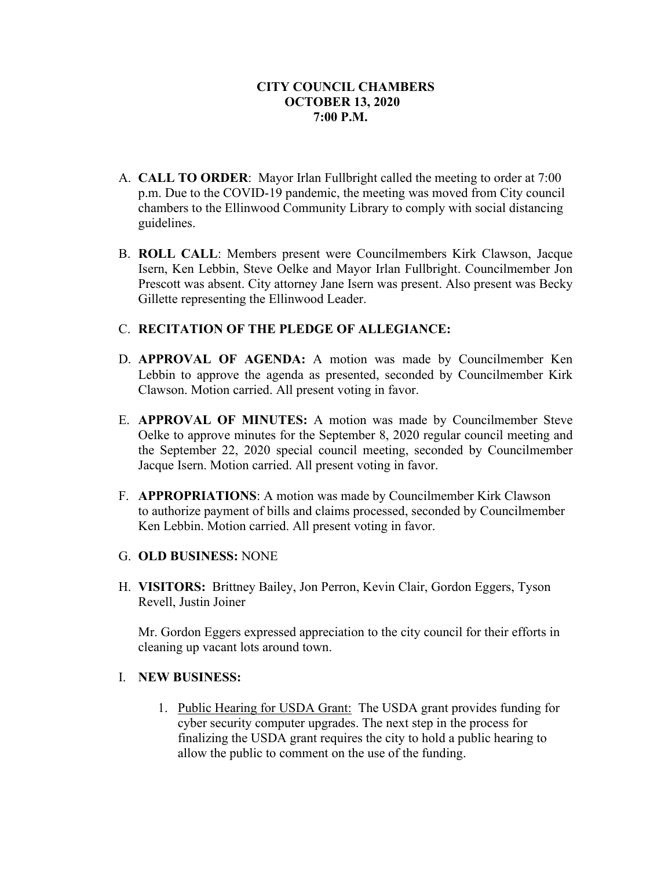- A. **CALL TO ORDER**: Mayor Irlan Fullbright called the meeting to order at 7:00 p.m. Due to the COVID-19 pandemic, the meeting was moved from City council chambers to the Ellinwood Community Library to comply with social distancing guidelines.
- B. **ROLL CALL**: Members present were Councilmembers Kirk Clawson, Jacque Isern, Ken Lebbin, Steve Oelke and Mayor Irlan Fullbright. Councilmember Jon Prescott was absent. City attorney Jane Isern was present. Also present was Becky Gillette representing the Ellinwood Leader.

## C. **RECITATION OF THE PLEDGE OF ALLEGIANCE:**

- D. **APPROVAL OF AGENDA:** A motion was made by Councilmember Ken Lebbin to approve the agenda as presented, seconded by Councilmember Kirk Clawson. Motion carried. All present voting in favor.
- E. **APPROVAL OF MINUTES:** A motion was made by Councilmember Steve Oelke to approve minutes for the September 8, 2020 regular council meeting and the September 22, 2020 special council meeting, seconded by Councilmember Jacque Isern. Motion carried. All present voting in favor.
- F. **APPROPRIATIONS**: A motion was made by Councilmember Kirk Clawson to authorize payment of bills and claims processed, seconded by Councilmember Ken Lebbin. Motion carried. All present voting in favor.
- G. **OLD BUSINESS:** NONE
- H. **VISITORS:** Brittney Bailey, Jon Perron, Kevin Clair, Gordon Eggers, Tyson Revell, Justin Joiner

Mr. Gordon Eggers expressed appreciation to the city council for their efforts in cleaning up vacant lots around town.

# I. **NEW BUSINESS:**

1. Public Hearing for USDA Grant: The USDA grant provides funding for cyber security computer upgrades. The next step in the process for finalizing the USDA grant requires the city to hold a public hearing to allow the public to comment on the use of the funding.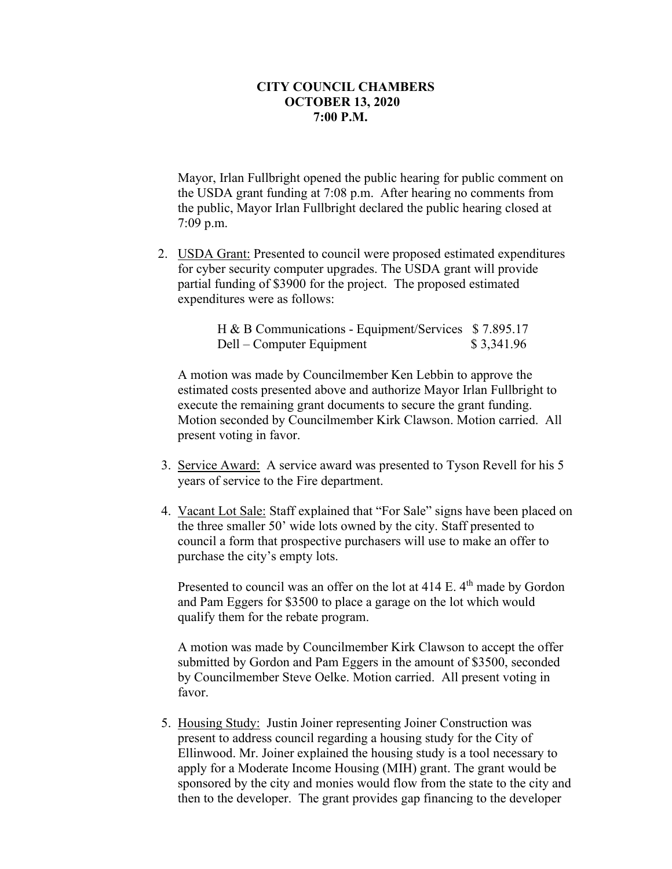Mayor, Irlan Fullbright opened the public hearing for public comment on the USDA grant funding at 7:08 p.m. After hearing no comments from the public, Mayor Irlan Fullbright declared the public hearing closed at 7:09 p.m.

2. USDA Grant: Presented to council were proposed estimated expenditures for cyber security computer upgrades. The USDA grant will provide partial funding of \$3900 for the project. The proposed estimated expenditures were as follows:

> H & B Communications - Equipment/Services \$ 7.895.17 Dell – Computer Equipment  $$ 3,341.96$

A motion was made by Councilmember Ken Lebbin to approve the estimated costs presented above and authorize Mayor Irlan Fullbright to execute the remaining grant documents to secure the grant funding. Motion seconded by Councilmember Kirk Clawson. Motion carried. All present voting in favor.

- 3. Service Award: A service award was presented to Tyson Revell for his 5 years of service to the Fire department.
- 4. Vacant Lot Sale: Staff explained that "For Sale" signs have been placed on the three smaller 50' wide lots owned by the city. Staff presented to council a form that prospective purchasers will use to make an offer to purchase the city's empty lots.

Presented to council was an offer on the lot at  $414$  E.  $4<sup>th</sup>$  made by Gordon and Pam Eggers for \$3500 to place a garage on the lot which would qualify them for the rebate program.

A motion was made by Councilmember Kirk Clawson to accept the offer submitted by Gordon and Pam Eggers in the amount of \$3500, seconded by Councilmember Steve Oelke. Motion carried. All present voting in favor.

5. Housing Study: Justin Joiner representing Joiner Construction was present to address council regarding a housing study for the City of Ellinwood. Mr. Joiner explained the housing study is a tool necessary to apply for a Moderate Income Housing (MIH) grant. The grant would be sponsored by the city and monies would flow from the state to the city and then to the developer. The grant provides gap financing to the developer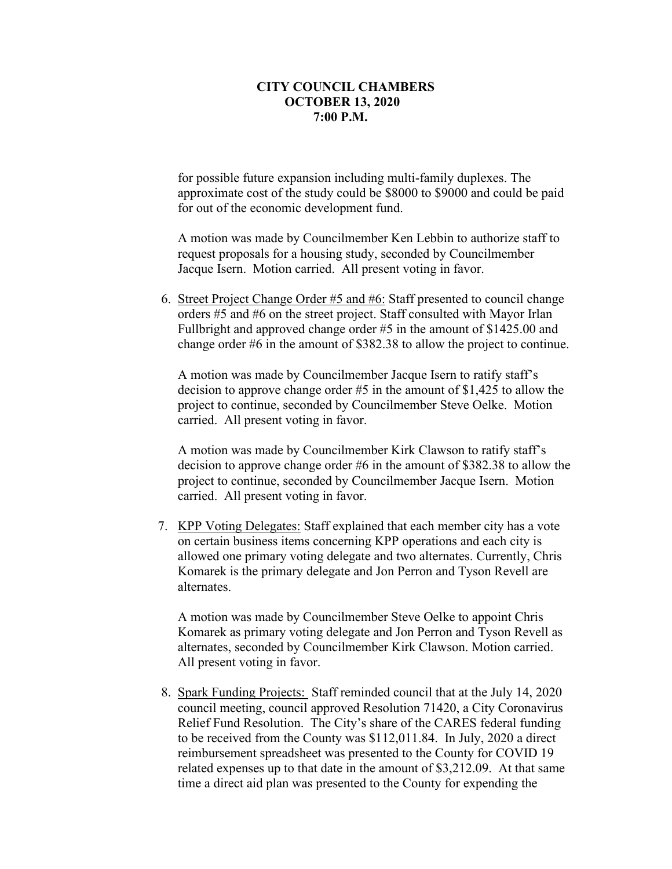for possible future expansion including multi-family duplexes. The approximate cost of the study could be \$8000 to \$9000 and could be paid for out of the economic development fund.

A motion was made by Councilmember Ken Lebbin to authorize staff to request proposals for a housing study, seconded by Councilmember Jacque Isern. Motion carried. All present voting in favor.

6. Street Project Change Order #5 and #6: Staff presented to council change orders #5 and #6 on the street project. Staff consulted with Mayor Irlan Fullbright and approved change order #5 in the amount of \$1425.00 and change order #6 in the amount of \$382.38 to allow the project to continue.

A motion was made by Councilmember Jacque Isern to ratify staff's decision to approve change order #5 in the amount of \$1,425 to allow the project to continue, seconded by Councilmember Steve Oelke. Motion carried. All present voting in favor.

A motion was made by Councilmember Kirk Clawson to ratify staff's decision to approve change order #6 in the amount of \$382.38 to allow the project to continue, seconded by Councilmember Jacque Isern. Motion carried. All present voting in favor.

7. KPP Voting Delegates: Staff explained that each member city has a vote on certain business items concerning KPP operations and each city is allowed one primary voting delegate and two alternates. Currently, Chris Komarek is the primary delegate and Jon Perron and Tyson Revell are alternates.

A motion was made by Councilmember Steve Oelke to appoint Chris Komarek as primary voting delegate and Jon Perron and Tyson Revell as alternates, seconded by Councilmember Kirk Clawson. Motion carried. All present voting in favor.

8. Spark Funding Projects: Staff reminded council that at the July 14, 2020 council meeting, council approved Resolution 71420, a City Coronavirus Relief Fund Resolution. The City's share of the CARES federal funding to be received from the County was \$112,011.84. In July, 2020 a direct reimbursement spreadsheet was presented to the County for COVID 19 related expenses up to that date in the amount of \$3,212.09. At that same time a direct aid plan was presented to the County for expending the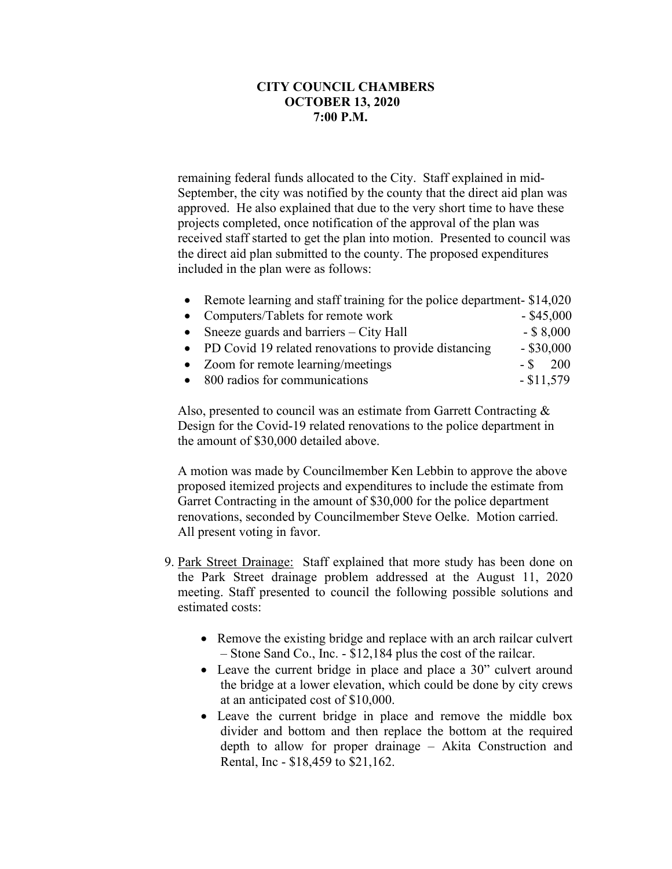remaining federal funds allocated to the City. Staff explained in mid-September, the city was notified by the county that the direct aid plan was approved. He also explained that due to the very short time to have these projects completed, once notification of the approval of the plan was received staff started to get the plan into motion. Presented to council was the direct aid plan submitted to the county. The proposed expenditures included in the plan were as follows:

| • Remote learning and staff training for the police department-\$14,020 |              |
|-------------------------------------------------------------------------|--------------|
| • Computers/Tablets for remote work                                     | $-$ \$45,000 |
| • Sneeze guards and barriers $-$ City Hall                              | $-$ \$ 8,000 |
| • PD Covid 19 related renovations to provide distancing                 | $-$ \$30,000 |
| • Zoom for remote learning/meetings                                     | $-$ \$ 200   |
| • 800 radios for communications                                         | $-$ \$11,579 |

Also, presented to council was an estimate from Garrett Contracting & Design for the Covid-19 related renovations to the police department in the amount of \$30,000 detailed above.

A motion was made by Councilmember Ken Lebbin to approve the above proposed itemized projects and expenditures to include the estimate from Garret Contracting in the amount of \$30,000 for the police department renovations, seconded by Councilmember Steve Oelke. Motion carried. All present voting in favor.

- 9. Park Street Drainage: Staff explained that more study has been done on the Park Street drainage problem addressed at the August 11, 2020 meeting. Staff presented to council the following possible solutions and estimated costs:
	- Remove the existing bridge and replace with an arch railcar culvert – Stone Sand Co., Inc. - \$12,184 plus the cost of the railcar.
	- Leave the current bridge in place and place a 30" culvert around the bridge at a lower elevation, which could be done by city crews at an anticipated cost of \$10,000.
	- Leave the current bridge in place and remove the middle box divider and bottom and then replace the bottom at the required depth to allow for proper drainage – Akita Construction and Rental, Inc - \$18,459 to \$21,162.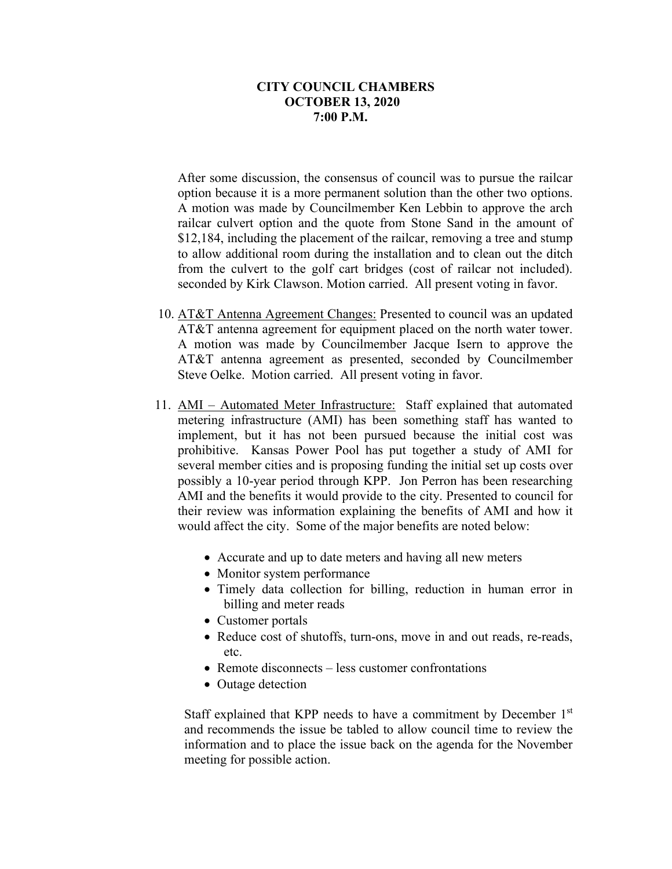After some discussion, the consensus of council was to pursue the railcar option because it is a more permanent solution than the other two options. A motion was made by Councilmember Ken Lebbin to approve the arch railcar culvert option and the quote from Stone Sand in the amount of \$12,184, including the placement of the railcar, removing a tree and stump to allow additional room during the installation and to clean out the ditch from the culvert to the golf cart bridges (cost of railcar not included). seconded by Kirk Clawson. Motion carried. All present voting in favor.

- 10. AT&T Antenna Agreement Changes: Presented to council was an updated AT&T antenna agreement for equipment placed on the north water tower. A motion was made by Councilmember Jacque Isern to approve the AT&T antenna agreement as presented, seconded by Councilmember Steve Oelke. Motion carried. All present voting in favor.
- 11. AMI Automated Meter Infrastructure: Staff explained that automated metering infrastructure (AMI) has been something staff has wanted to implement, but it has not been pursued because the initial cost was prohibitive. Kansas Power Pool has put together a study of AMI for several member cities and is proposing funding the initial set up costs over possibly a 10-year period through KPP. Jon Perron has been researching AMI and the benefits it would provide to the city. Presented to council for their review was information explaining the benefits of AMI and how it would affect the city. Some of the major benefits are noted below:
	- Accurate and up to date meters and having all new meters
	- Monitor system performance
	- Timely data collection for billing, reduction in human error in billing and meter reads
	- Customer portals
	- Reduce cost of shutoffs, turn-ons, move in and out reads, re-reads, etc.
	- Remote disconnects less customer confrontations
	- Outage detection

Staff explained that KPP needs to have a commitment by December  $1<sup>st</sup>$ and recommends the issue be tabled to allow council time to review the information and to place the issue back on the agenda for the November meeting for possible action.